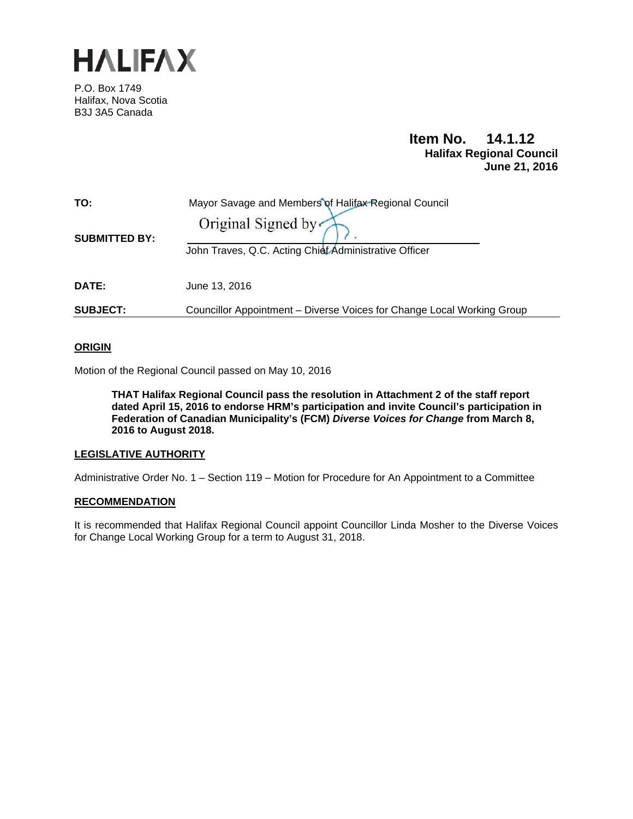

P.O. Box 1749 Halifax, Nova Scotia B3J 3A5 Canada

# **Item No. 14.1.12 Halifax Regional Council June 21, 2016**

| TO:                  | Mayor Savage and Members of Halifax Regional Council                   |
|----------------------|------------------------------------------------------------------------|
| <b>SUBMITTED BY:</b> | Original Signed by                                                     |
|                      | John Traves, Q.C. Acting Chief Administrative Officer                  |
| <b>DATE:</b>         | June 13, 2016                                                          |
| <b>SUBJECT:</b>      | Councillor Appointment – Diverse Voices for Change Local Working Group |

## **ORIGIN**

Motion of the Regional Council passed on May 10, 2016

**THAT Halifax Regional Council pass the resolution in Attachment 2 of the staff report dated April 15, 2016 to endorse HRM's participation and invite Council's participation in Federation of Canadian Municipality's (FCM)** *Diverse Voices for Change* **from March 8, 2016 to August 2018.** 

## **LEGISLATIVE AUTHORITY**

Administrative Order No. 1 – Section 119 – Motion for Procedure for An Appointment to a Committee

## **RECOMMENDATION**

It is recommended that Halifax Regional Council appoint Councillor Linda Mosher to the Diverse Voices for Change Local Working Group for a term to August 31, 2018.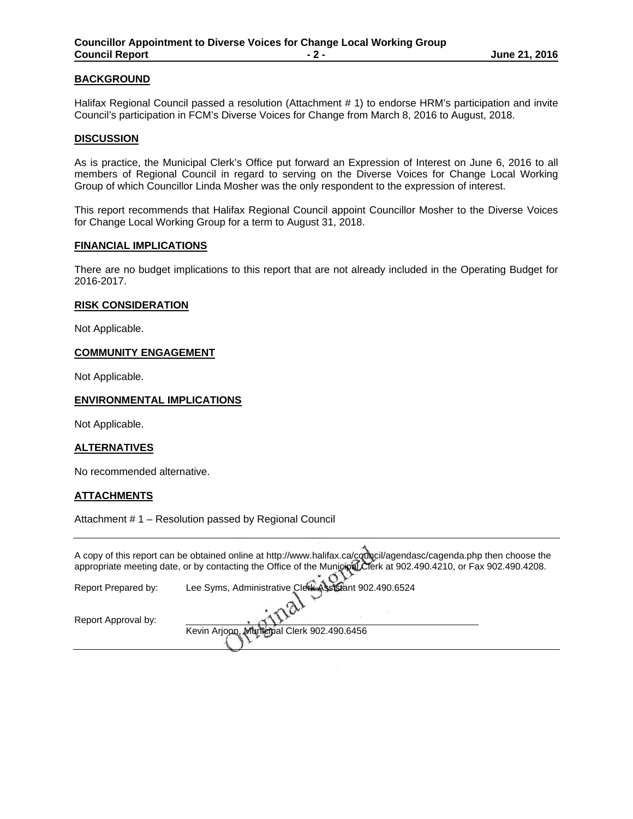## **BACKGROUND**

Halifax Regional Council passed a resolution (Attachment # 1) to endorse HRM's participation and invite Council's participation in FCM's Diverse Voices for Change from March 8, 2016 to August, 2018.

#### **DISCUSSION**

As is practice, the Municipal Clerk's Office put forward an Expression of Interest on June 6, 2016 to all members of Regional Council in regard to serving on the Diverse Voices for Change Local Working Group of which Councillor Linda Mosher was the only respondent to the expression of interest.

This report recommends that Halifax Regional Council appoint Councillor Mosher to the Diverse Voices for Change Local Working Group for a term to August 31, 2018.

#### **FINANCIAL IMPLICATIONS**

There are no budget implications to this report that are not already included in the Operating Budget for 2016-2017.

#### **RISK CONSIDERATION**

Not Applicable.

#### **COMMUNITY ENGAGEMENT**

Not Applicable.

## **ENVIRONMENTAL IMPLICATIONS**

Not Applicable.

## **ALTERNATIVES**

No recommended alternative.

## **ATTACHMENTS**

Attachment # 1 – Resolution passed by Regional Council

|                     | A copy of this report can be obtained online at http://www.halifax.ca/council/agendasc/cagenda.php then choose the |
|---------------------|--------------------------------------------------------------------------------------------------------------------|
|                     | appropriate meeting date, or by contacting the Office of the Municipal Clerk at 902.490.4210, or Fax 902.490.4208. |
|                     |                                                                                                                    |
| Report Prepared by: | Lee Syms, Administrative Clerk Assistant 902.490.6524                                                              |
|                     |                                                                                                                    |
|                     |                                                                                                                    |

Kevin Arjoon, Municipal Clerk 902.490.6456

Report Approval by: